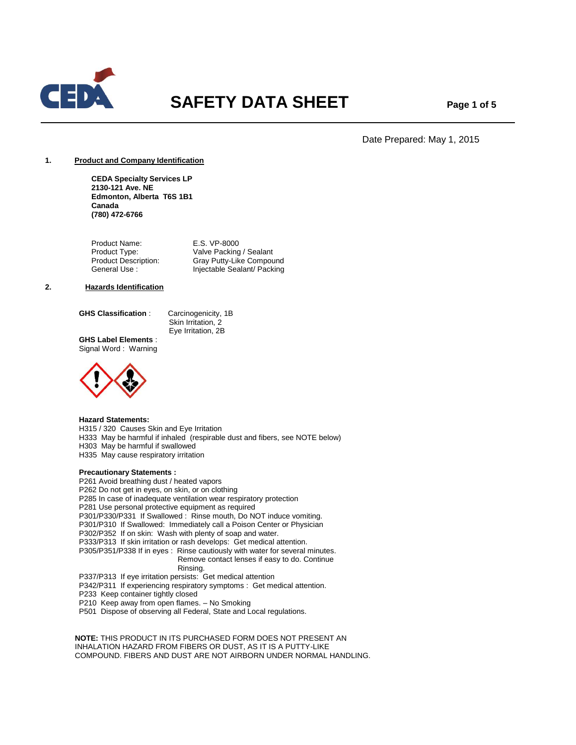

# **SAFETY DATA SHEET** Page 1 of 5

Date Prepared: May 1, 2015

## **1. Product and Company Identification**

**CEDA Specialty Services LP 2130-121 Ave. NE Edmonton, Alberta T6S 1B1 Canada (780) 472-6766**

Product Name: E.S. VP-8000 Product Type: Valve Packing / Sealant<br>
Product Description: Gray Putty-Like Compou Product Description: Gray Putty-Like Compound<br>General Use : Injectable Sealant/ Packing Injectable Sealant/ Packing

## **2. Hazards Identification**

**GHS Classification** : Carcinogenicity, 1B

 Skin Irritation, 2 Eye Irritation, 2B

**GHS Label Elements** : Signal Word : Warning



#### **Hazard Statements:**

- H315 / 320 Causes Skin and Eye Irritation
- H333 May be harmful if inhaled (respirable dust and fibers, see NOTE below)

H303 May be harmful if swallowed

H335 May cause respiratory irritation

# **Precautionary Statements :**

P261 Avoid breathing dust / heated vapors P262 Do not get in eyes, on skin, or on clothing P285 In case of inadequate ventilation wear respiratory protection P281 Use personal protective equipment as required P301/P330/P331 If Swallowed : Rinse mouth, Do NOT induce vomiting. P301/P310 If Swallowed: Immediately call a Poison Center or Physician P302/P352 If on skin: Wash with plenty of soap and water. P333/P313 If skin irritation or rash develops: Get medical attention. P305/P351/P338 If in eyes : Rinse cautiously with water for several minutes. Remove contact lenses if easy to do. Continue Rinsing. P337/P313 If eye irritation persists: Get medical attention P342/P311 If experiencing respiratory symptoms : Get medical attention. P233 Keep container tightly closed P210 Keep away from open flames. – No Smoking P501 Dispose of observing all Federal, State and Local regulations.

 **NOTE:** THIS PRODUCT IN ITS PURCHASED FORM DOES NOT PRESENT AN INHALATION HAZARD FROM FIBERS OR DUST, AS IT IS A PUTTY-LIKE COMPOUND. FIBERS AND DUST ARE NOT AIRBORN UNDER NORMAL HANDLING.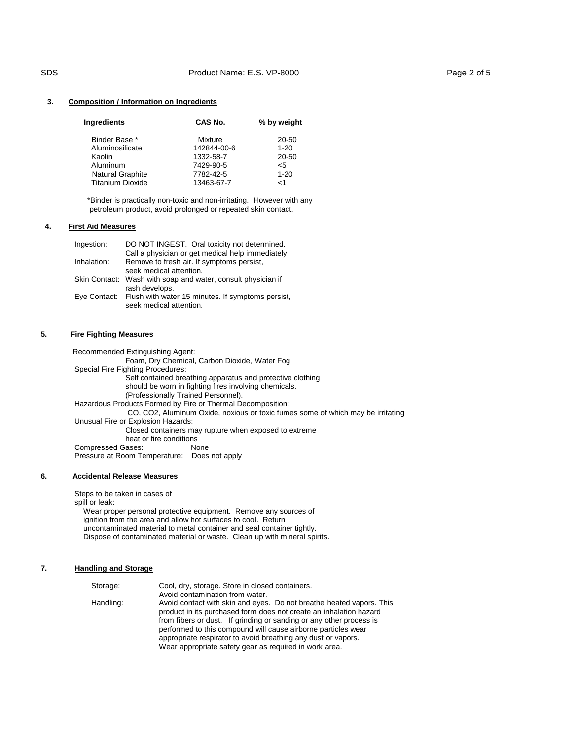#### **3. Composition / Information on Ingredients**

| CAS No.     | % by weight |
|-------------|-------------|
| Mixture     | 20-50       |
| 142844-00-6 | $1 - 20$    |
| 1332-58-7   | 20-50       |
| 7429-90-5   | $<$ 5       |
| 7782-42-5   | $1 - 20$    |
| 13463-67-7  | $<$ 1       |
|             |             |

\*Binder is practically non-toxic and non-irritating. However with any petroleum product, avoid prolonged or repeated skin contact.

## **4. First Aid Measures**

| Ingestion:  | DO NOT INGEST. Oral toxicity not determined.                                                   |
|-------------|------------------------------------------------------------------------------------------------|
| Inhalation: | Call a physician or get medical help immediately.<br>Remove to fresh air. If symptoms persist, |
|             | seek medical attention.                                                                        |
|             | Skin Contact: Wash with soap and water, consult physician if                                   |
|             | rash develops.                                                                                 |
|             | Eye Contact: Flush with water 15 minutes. If symptoms persist,                                 |
|             | seek medical attention.                                                                        |

## **5. Fire Fighting Measures**

 Recommended Extinguishing Agent: Foam, Dry Chemical, Carbon Dioxide, Water Fog Special Fire Fighting Procedures: Self contained breathing apparatus and protective clothing should be worn in fighting fires involving chemicals. (Professionally Trained Personnel). Hazardous Products Formed by Fire or Thermal Decomposition: CO, CO2, Aluminum Oxide, noxious or toxic fumes some of which may be irritating Unusual Fire or Explosion Hazards: Closed containers may rupture when exposed to extreme heat or fire conditions Compressed Gases: None Pressure at Room Temperature: Does not apply

## **6. Accidental Release Measures**

Steps to be taken in cases of spill or leak: Wear proper personal protective equipment. Remove any sources of ignition from the area and allow hot surfaces to cool. Return uncontaminated material to metal container and seal container tightly. Dispose of contaminated material or waste. Clean up with mineral spirits.

## **7. Handling and Storage**

| Avoid contamination from water.                                                                                                                                                                                                                                                                                                                                                                               |
|---------------------------------------------------------------------------------------------------------------------------------------------------------------------------------------------------------------------------------------------------------------------------------------------------------------------------------------------------------------------------------------------------------------|
|                                                                                                                                                                                                                                                                                                                                                                                                               |
| Avoid contact with skin and eyes. Do not breathe heated vapors. This<br>product in its purchased form does not create an inhalation hazard<br>from fibers or dust. If grinding or sanding or any other process is<br>performed to this compound will cause airborne particles wear<br>appropriate respirator to avoid breathing any dust or vapors.<br>Wear appropriate safety gear as required in work area. |
|                                                                                                                                                                                                                                                                                                                                                                                                               |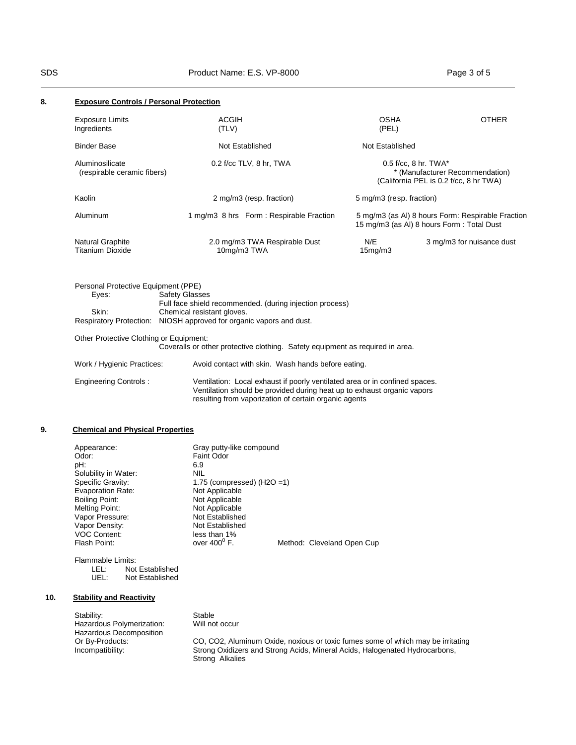| 8. | <b>Exposure Controls / Personal Protection</b>        |                                                                                                                                                                                        |                          |                                                                                                |
|----|-------------------------------------------------------|----------------------------------------------------------------------------------------------------------------------------------------------------------------------------------------|--------------------------|------------------------------------------------------------------------------------------------|
|    | <b>Exposure Limits</b><br>Ingredients                 | <b>ACGIH</b><br>(TLV)                                                                                                                                                                  | <b>OSHA</b><br>(PEL)     | <b>OTHER</b>                                                                                   |
|    | <b>Binder Base</b>                                    | Not Established                                                                                                                                                                        | Not Established          |                                                                                                |
|    | Aluminosilicate<br>(respirable ceramic fibers)        | 0.2 f/cc TLV, 8 hr, TWA                                                                                                                                                                | $0.5$ f/cc, 8 hr. TWA*   | * (Manufacturer Recommendation)<br>(California PEL is 0.2 f/cc, 8 hr TWA)                      |
|    | Kaolin                                                | 2 mg/m3 (resp. fraction)                                                                                                                                                               | 5 mg/m3 (resp. fraction) |                                                                                                |
|    | Aluminum                                              | 1 mg/m3 8 hrs Form: Respirable Fraction                                                                                                                                                |                          | 5 mg/m3 (as AI) 8 hours Form: Respirable Fraction<br>15 mg/m3 (as Al) 8 hours Form: Total Dust |
|    | Natural Graphite<br><b>Titanium Dioxide</b>           | 2.0 mg/m3 TWA Respirable Dust<br>10mg/m3 TWA                                                                                                                                           | N/E<br>15mg/m3           | 3 mg/m3 for nuisance dust                                                                      |
|    | Personal Protective Equipment (PPE)<br>Eyes:<br>Skin: | <b>Safety Glasses</b><br>Full face shield recommended. (during injection process)<br>Chemical resistant gloves.<br>Respiratory Protection: NIOSH approved for organic vapors and dust. |                          |                                                                                                |
|    | Other Protective Clothing or Equipment:               | Coveralls or other protective clothing. Safety equipment as required in area.                                                                                                          |                          |                                                                                                |
|    | Work / Hygienic Practices:                            | Avoid contact with skin. Wash hands before eating.                                                                                                                                     |                          |                                                                                                |

| Engineering Controls: | Ventilation: Local exhaust if poorly ventilated area or in confined spaces. |
|-----------------------|-----------------------------------------------------------------------------|
|                       | Ventilation should be provided during heat up to exhaust organic vapors     |
|                       | resulting from vaporization of certain organic agents                       |

# **9. Chemical and Physical Properties**

| Appearance:              | Gray putty-like compound                            |
|--------------------------|-----------------------------------------------------|
| Odor:                    | <b>Faint Odor</b>                                   |
| pH:                      | 6.9                                                 |
| Solubility in Water:     | <b>NIL</b>                                          |
| Specific Gravity:        | 1.75 (compressed) $(H2O = 1)$                       |
| <b>Evaporation Rate:</b> | Not Applicable                                      |
| Boiling Point:           | Not Applicable                                      |
| Melting Point:           | Not Applicable                                      |
| Vapor Pressure:          | Not Established                                     |
| Vapor Density:           | Not Established                                     |
| <b>VOC Content:</b>      | less than 1%                                        |
| Flash Point:             | over $400^{\circ}$ F.<br>Method: Cleveland Open Cup |
|                          |                                                     |

| Flammable Limits: |                 |
|-------------------|-----------------|
| IFL:              | Not Established |
| UFL:              | Not Established |

# **10. Stability and Reactivity**

| Stability:                | Stable                                                                          |
|---------------------------|---------------------------------------------------------------------------------|
| Hazardous Polymerization: | Will not occur                                                                  |
| Hazardous Decomposition   |                                                                                 |
| Or By-Products:           | CO, CO2, Aluminum Oxide, noxious or toxic fumes some of which may be irritating |
| Incompatibility:          | Strong Oxidizers and Strong Acids, Mineral Acids, Halogenated Hydrocarbons,     |
|                           | Strong Alkalies                                                                 |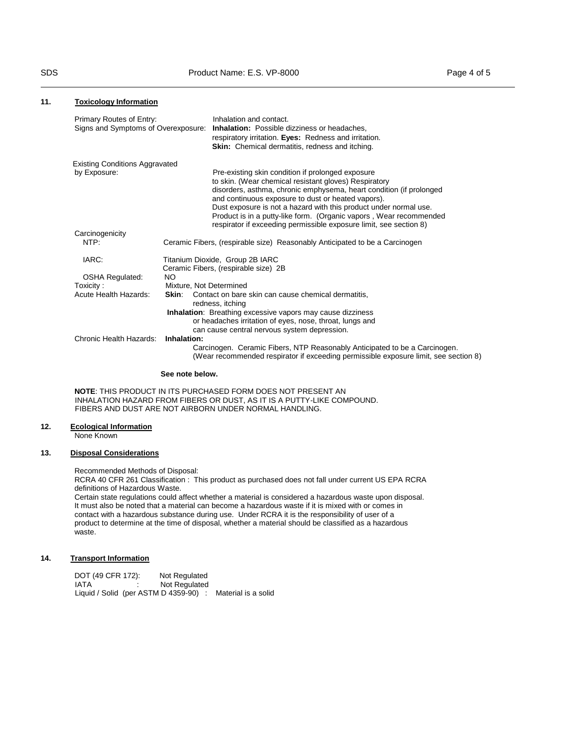## **11. Toxicology Information**

| Primary Routes of Entry:<br>Signs and Symptoms of Overexposure: |                         | Inhalation and contact.<br><b>Inhalation:</b> Possible dizziness or headaches,<br>respiratory irritation. Eyes: Redness and irritation.<br>Skin: Chemical dermatitis, redness and itching.                                                                                                                                                                                                                                                               |
|-----------------------------------------------------------------|-------------------------|----------------------------------------------------------------------------------------------------------------------------------------------------------------------------------------------------------------------------------------------------------------------------------------------------------------------------------------------------------------------------------------------------------------------------------------------------------|
| <b>Existing Conditions Aggravated</b>                           |                         |                                                                                                                                                                                                                                                                                                                                                                                                                                                          |
| by Exposure:                                                    |                         | Pre-existing skin condition if prolonged exposure<br>to skin. (Wear chemical resistant gloves) Respiratory<br>disorders, asthma, chronic emphysema, heart condition (if prolonged<br>and continuous exposure to dust or heated vapors).<br>Dust exposure is not a hazard with this product under normal use.<br>Product is in a putty-like form. (Organic vapors, Wear recommended<br>respirator if exceeding permissible exposure limit, see section 8) |
| Carcinogenicity                                                 |                         |                                                                                                                                                                                                                                                                                                                                                                                                                                                          |
| NTP:                                                            |                         | Ceramic Fibers, (respirable size) Reasonably Anticipated to be a Carcinogen                                                                                                                                                                                                                                                                                                                                                                              |
| IARC:                                                           |                         | Titanium Dioxide, Group 2B IARC<br>Ceramic Fibers, (respirable size) 2B                                                                                                                                                                                                                                                                                                                                                                                  |
| <b>OSHA Regulated:</b>                                          | NO.                     |                                                                                                                                                                                                                                                                                                                                                                                                                                                          |
| Toxicity:                                                       | Mixture, Not Determined |                                                                                                                                                                                                                                                                                                                                                                                                                                                          |
| Acute Health Hazards:                                           |                         | Skin: Contact on bare skin can cause chemical dermatitis,<br>redness, itching<br><b>Inhalation:</b> Breathing excessive vapors may cause dizziness                                                                                                                                                                                                                                                                                                       |
|                                                                 |                         | or headaches irritation of eyes, nose, throat, lungs and                                                                                                                                                                                                                                                                                                                                                                                                 |
|                                                                 |                         | can cause central nervous system depression.                                                                                                                                                                                                                                                                                                                                                                                                             |
| Chronic Health Hazards:                                         | Inhalation:             |                                                                                                                                                                                                                                                                                                                                                                                                                                                          |
|                                                                 |                         | Carcinogen. Ceramic Fibers, NTP Reasonably Anticipated to be a Carcinogen.<br>(Wear recommended respirator if exceeding permissible exposure limit, see section 8)                                                                                                                                                                                                                                                                                       |

#### **See note below.**

**NOTE**: THIS PRODUCT IN ITS PURCHASED FORM DOES NOT PRESENT AN INHALATION HAZARD FROM FIBERS OR DUST, AS IT IS A PUTTY-LIKE COMPOUND. FIBERS AND DUST ARE NOT AIRBORN UNDER NORMAL HANDLING.

#### **12. Ecological Information**

None Known

## **13. Disposal Considerations**

Recommended Methods of Disposal:

RCRA 40 CFR 261 Classification : This product as purchased does not fall under current US EPA RCRA definitions of Hazardous Waste.

Certain state regulations could affect whether a material is considered a hazardous waste upon disposal. It must also be noted that a material can become a hazardous waste if it is mixed with or comes in contact with a hazardous substance during use. Under RCRA it is the responsibility of user of a product to determine at the time of disposal, whether a material should be classified as a hazardous waste.

# **14. Transport Information**

DOT (49 CFR 172): Not Regulated<br>IATA : Not Regulated Not Regulated Liquid / Solid (per ASTM D 4359-90) : Material is a solid